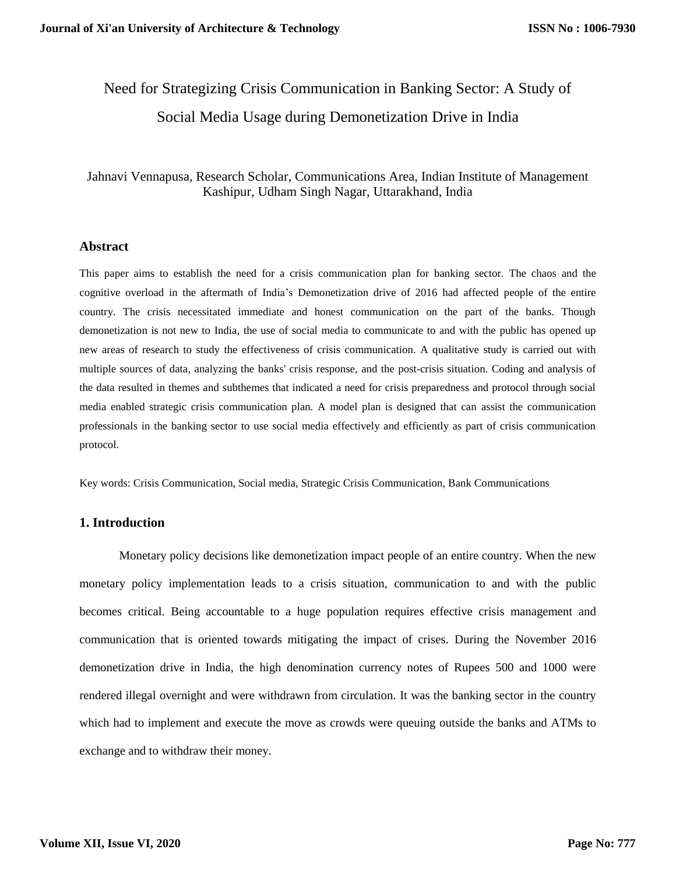# Need for Strategizing Crisis Communication in Banking Sector: A Study of Social Media Usage during Demonetization Drive in India

## Jahnavi Vennapusa, Research Scholar, Communications Area, Indian Institute of Management Kashipur, Udham Singh Nagar, Uttarakhand, India

#### **Abstract**

This paper aims to establish the need for a crisis communication plan for banking sector. The chaos and the cognitive overload in the aftermath of India's Demonetization drive of 2016 had affected people of the entire country. The crisis necessitated immediate and honest communication on the part of the banks. Though demonetization is not new to India, the use of social media to communicate to and with the public has opened up new areas of research to study the effectiveness of crisis communication. A qualitative study is carried out with multiple sources of data, analyzing the banks' crisis response, and the post-crisis situation. Coding and analysis of the data resulted in themes and subthemes that indicated a need for crisis preparedness and protocol through social media enabled strategic crisis communication plan. A model plan is designed that can assist the communication professionals in the banking sector to use social media effectively and efficiently as part of crisis communication protocol.

Key words: Crisis Communication, Social media, Strategic Crisis Communication, Bank Communications

#### **1. Introduction**

Monetary policy decisions like demonetization impact people of an entire country. When the new monetary policy implementation leads to a crisis situation, communication to and with the public becomes critical. Being accountable to a huge population requires effective crisis management and communication that is oriented towards mitigating the impact of crises. During the November 2016 demonetization drive in India, the high denomination currency notes of Rupees 500 and 1000 were rendered illegal overnight and were withdrawn from circulation. It was the banking sector in the country which had to implement and execute the move as crowds were queuing outside the banks and ATMs to exchange and to withdraw their money.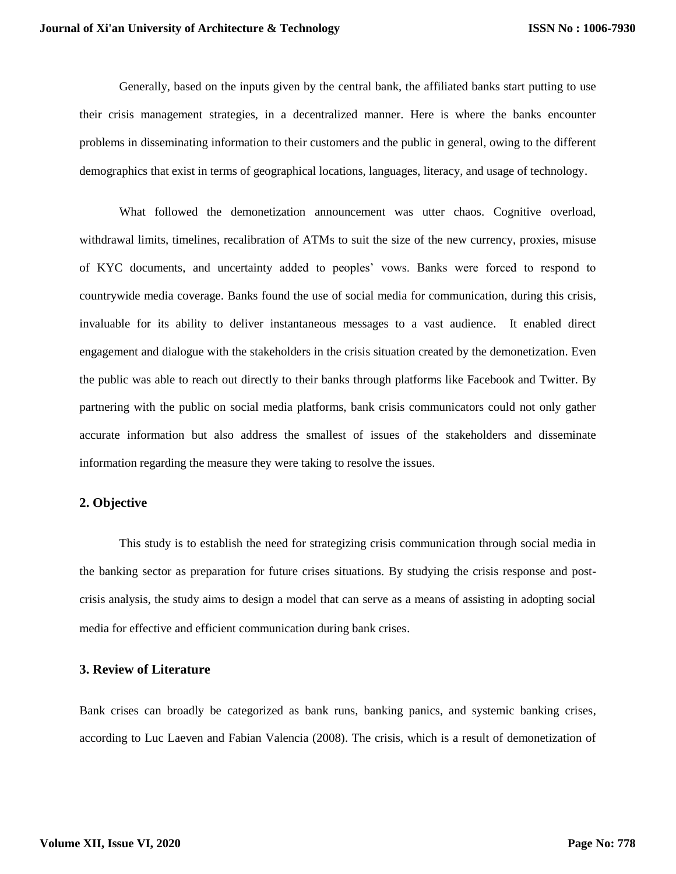Generally, based on the inputs given by the central bank, the affiliated banks start putting to use their crisis management strategies, in a decentralized manner. Here is where the banks encounter problems in disseminating information to their customers and the public in general, owing to the different demographics that exist in terms of geographical locations, languages, literacy, and usage of technology.

What followed the demonetization announcement was utter chaos. Cognitive overload, withdrawal limits, timelines, recalibration of ATMs to suit the size of the new currency, proxies, misuse of KYC documents, and uncertainty added to peoples' vows. Banks were forced to respond to countrywide media coverage. Banks found the use of social media for communication, during this crisis, invaluable for its ability to deliver instantaneous messages to a vast audience. It enabled direct engagement and dialogue with the stakeholders in the crisis situation created by the demonetization. Even the public was able to reach out directly to their banks through platforms like Facebook and Twitter. By partnering with the public on social media platforms, bank crisis communicators could not only gather accurate information but also address the smallest of issues of the stakeholders and disseminate information regarding the measure they were taking to resolve the issues.

## **2. Objective**

This study is to establish the need for strategizing crisis communication through social media in the banking sector as preparation for future crises situations. By studying the crisis response and postcrisis analysis, the study aims to design a model that can serve as a means of assisting in adopting social media for effective and efficient communication during bank crises.

#### **3. Review of Literature**

Bank crises can broadly be categorized as bank runs, banking panics, and systemic banking crises, according to Luc Laeven and Fabian Valencia (2008). The crisis, which is a result of demonetization of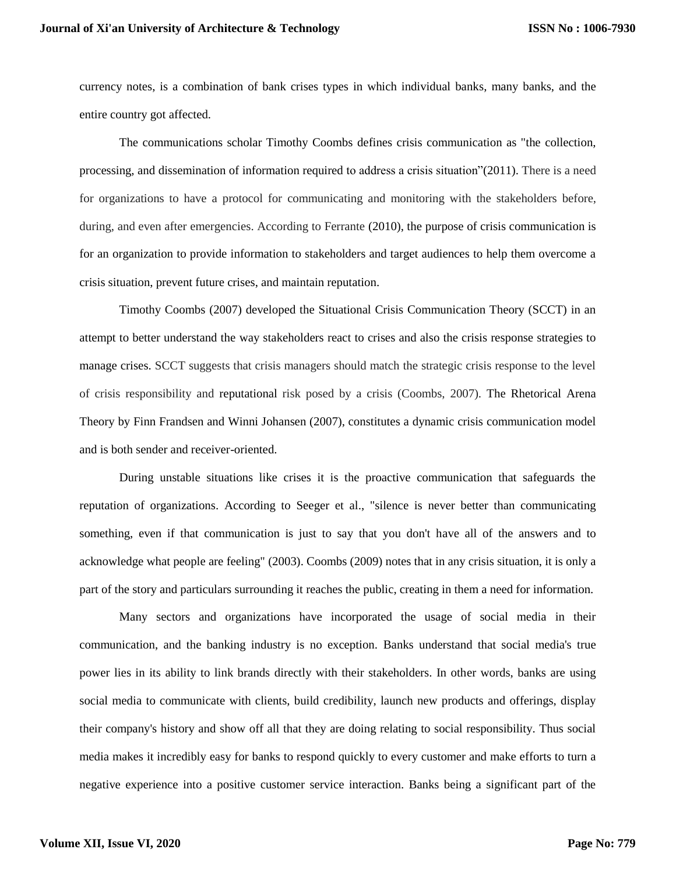currency notes, is a combination of bank crises types in which individual banks, many banks, and the entire country got affected.

The communications scholar Timothy Coombs defines crisis communication as "the collection, processing, and dissemination of information required to address a crisis situation"(2011). There is a need for organizations to have a protocol for communicating and monitoring with the stakeholders before, during, and even after emergencies. According to Ferrante (2010), the purpose of crisis communication is for an organization to provide information to stakeholders and target audiences to help them overcome a crisis situation, prevent future crises, and maintain reputation.

Timothy Coombs (2007) developed the Situational Crisis Communication Theory (SCCT) in an attempt to better understand the way stakeholders react to crises and also the crisis response strategies to manage crises. SCCT suggests that crisis managers should match the strategic crisis response to the level of crisis responsibility and [reputational](https://en.wikipedia.org/wiki/Reputation) risk posed by a crisis (Coombs, 2007). The Rhetorical Arena Theory by Finn Frandsen and Winni Johansen (2007), constitutes a dynamic crisis communication model and is both sender and receiver-oriented.

During unstable situations like crises it is the proactive communication that safeguards the reputation of organizations. According to Seeger et al., "silence is never better than communicating something, even if that communication is just to say that you don't have all of the answers and to acknowledge what people are feeling" (2003). Coombs (2009) notes that in any crisis situation, it is only a part of the story and particulars surrounding it reaches the public, creating in them a need for information.

Many sectors and organizations have incorporated the usage of social media in their communication, and the banking industry is no exception. Banks understand that social media's true power lies in its ability to link brands directly with their stakeholders. In other words, banks are using social media to communicate with clients, build credibility, launch new products and offerings, display their company's history and show off all that they are doing relating to social responsibility. Thus social media makes it incredibly easy for banks to respond quickly to every customer and make efforts to turn a negative experience into a positive customer service interaction. Banks being a significant part of the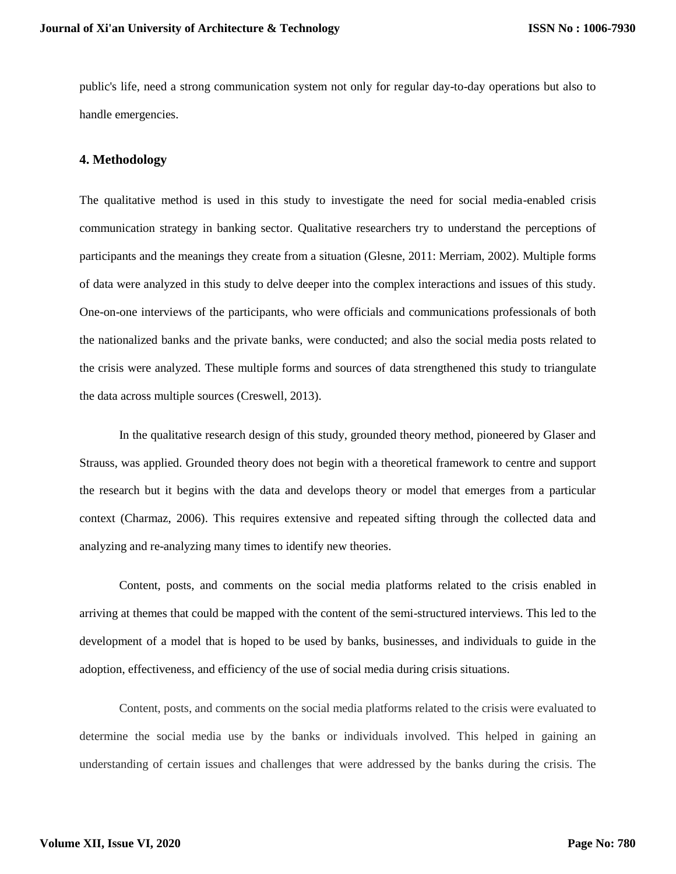public's life, need a strong communication system not only for regular day-to-day operations but also to handle emergencies.

#### **4. Methodology**

The qualitative method is used in this study to investigate the need for social media-enabled crisis communication strategy in banking sector. Qualitative researchers try to understand the perceptions of participants and the meanings they create from a situation (Glesne, 2011: Merriam, 2002). Multiple forms of data were analyzed in this study to delve deeper into the complex interactions and issues of this study. One-on-one interviews of the participants, who were officials and communications professionals of both the nationalized banks and the private banks, were conducted; and also the social media posts related to the crisis were analyzed. These multiple forms and sources of data strengthened this study to triangulate the data across multiple sources (Creswell, 2013).

In the qualitative research design of this study, grounded theory method, pioneered by Glaser and Strauss, was applied. Grounded theory does not begin with a theoretical framework to centre and support the research but it begins with the data and develops theory or model that emerges from a particular context (Charmaz, 2006). This requires extensive and repeated sifting through the collected data and analyzing and re-analyzing many times to identify new theories.

Content, posts, and comments on the social media platforms related to the crisis enabled in arriving at themes that could be mapped with the content of the semi-structured interviews. This led to the development of a model that is hoped to be used by banks, businesses, and individuals to guide in the adoption, effectiveness, and efficiency of the use of social media during crisis situations.

Content, posts, and comments on the social media platforms related to the crisis were evaluated to determine the social media use by the banks or individuals involved. This helped in gaining an understanding of certain issues and challenges that were addressed by the banks during the crisis. The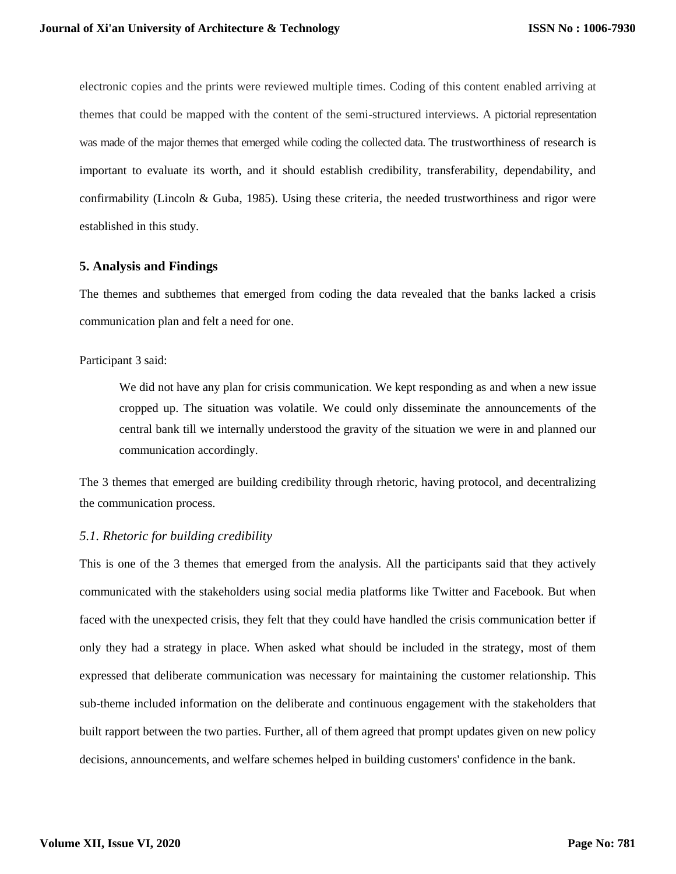electronic copies and the prints were reviewed multiple times. Coding of this content enabled arriving at themes that could be mapped with the content of the semi-structured interviews. A pictorial representation was made of the major themes that emerged while coding the collected data. The trustworthiness of research is important to evaluate its worth, and it should establish credibility, transferability, dependability, and confirmability (Lincoln & Guba, 1985). Using these criteria, the needed trustworthiness and rigor were established in this study.

## **5. Analysis and Findings**

The themes and subthemes that emerged from coding the data revealed that the banks lacked a crisis communication plan and felt a need for one.

#### Participant 3 said:

We did not have any plan for crisis communication. We kept responding as and when a new issue cropped up. The situation was volatile. We could only disseminate the announcements of the central bank till we internally understood the gravity of the situation we were in and planned our communication accordingly.

The 3 themes that emerged are building credibility through rhetoric, having protocol, and decentralizing the communication process.

## *5.1. Rhetoric for building credibility*

This is one of the 3 themes that emerged from the analysis. All the participants said that they actively communicated with the stakeholders using social media platforms like Twitter and Facebook. But when faced with the unexpected crisis, they felt that they could have handled the crisis communication better if only they had a strategy in place. When asked what should be included in the strategy, most of them expressed that deliberate communication was necessary for maintaining the customer relationship. This sub-theme included information on the deliberate and continuous engagement with the stakeholders that built rapport between the two parties. Further, all of them agreed that prompt updates given on new policy decisions, announcements, and welfare schemes helped in building customers' confidence in the bank.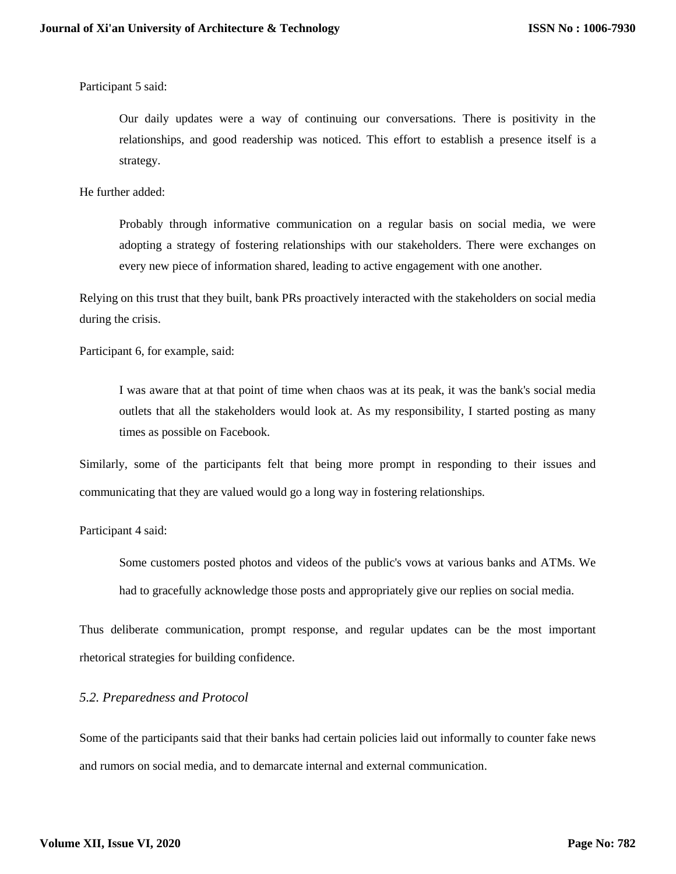Participant 5 said:

Our daily updates were a way of continuing our conversations. There is positivity in the relationships, and good readership was noticed. This effort to establish a presence itself is a strategy.

He further added:

Probably through informative communication on a regular basis on social media, we were adopting a strategy of fostering relationships with our stakeholders. There were exchanges on every new piece of information shared, leading to active engagement with one another.

Relying on this trust that they built, bank PRs proactively interacted with the stakeholders on social media during the crisis.

Participant 6, for example, said:

I was aware that at that point of time when chaos was at its peak, it was the bank's social media outlets that all the stakeholders would look at. As my responsibility, I started posting as many times as possible on Facebook.

Similarly, some of the participants felt that being more prompt in responding to their issues and communicating that they are valued would go a long way in fostering relationships.

Participant 4 said:

Some customers posted photos and videos of the public's vows at various banks and ATMs. We had to gracefully acknowledge those posts and appropriately give our replies on social media.

Thus deliberate communication, prompt response, and regular updates can be the most important rhetorical strategies for building confidence.

## *5.2. Preparedness and Protocol*

Some of the participants said that their banks had certain policies laid out informally to counter fake news and rumors on social media, and to demarcate internal and external communication.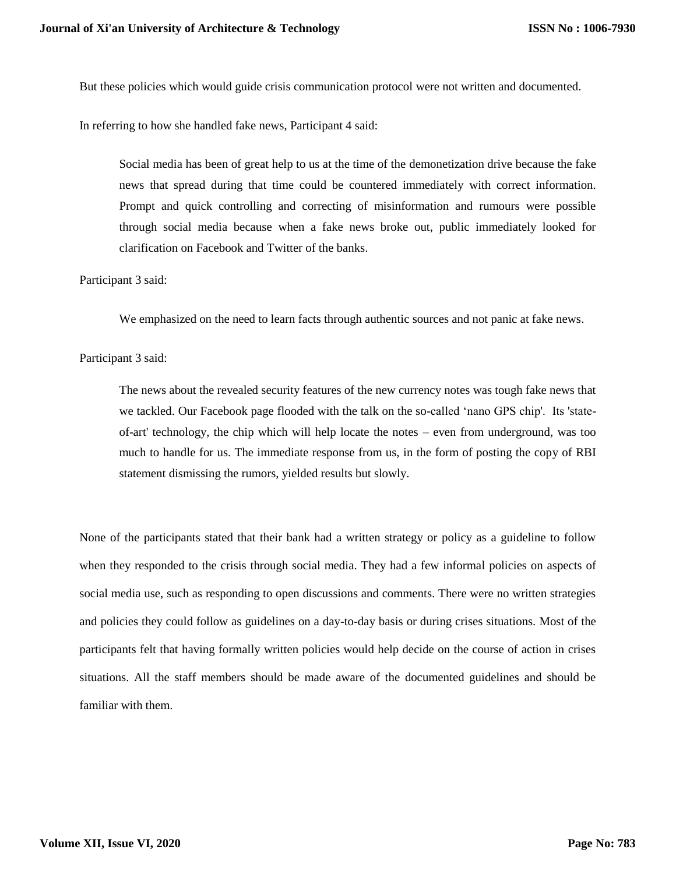But these policies which would guide crisis communication protocol were not written and documented.

In referring to how she handled fake news, Participant 4 said:

Social media has been of great help to us at the time of the demonetization drive because the fake news that spread during that time could be countered immediately with correct information. Prompt and quick controlling and correcting of misinformation and rumours were possible through social media because when a fake news broke out, public immediately looked for clarification on Facebook and Twitter of the banks.

Participant 3 said:

We emphasized on the need to learn facts through authentic sources and not panic at fake news.

#### Participant 3 said:

The news about the revealed security features of the new currency notes was tough fake news that we tackled. Our Facebook page flooded with the talk on the so-called 'nano GPS chip'. Its 'stateof-art' technology, the chip which will help locate the notes – even from underground, was too much to handle for us. The immediate response from us, in the form of posting the copy of RBI statement dismissing the rumors, yielded results but slowly.

None of the participants stated that their bank had a written strategy or policy as a guideline to follow when they responded to the crisis through social media. They had a few informal policies on aspects of social media use, such as responding to open discussions and comments. There were no written strategies and policies they could follow as guidelines on a day-to-day basis or during crises situations. Most of the participants felt that having formally written policies would help decide on the course of action in crises situations. All the staff members should be made aware of the documented guidelines and should be familiar with them.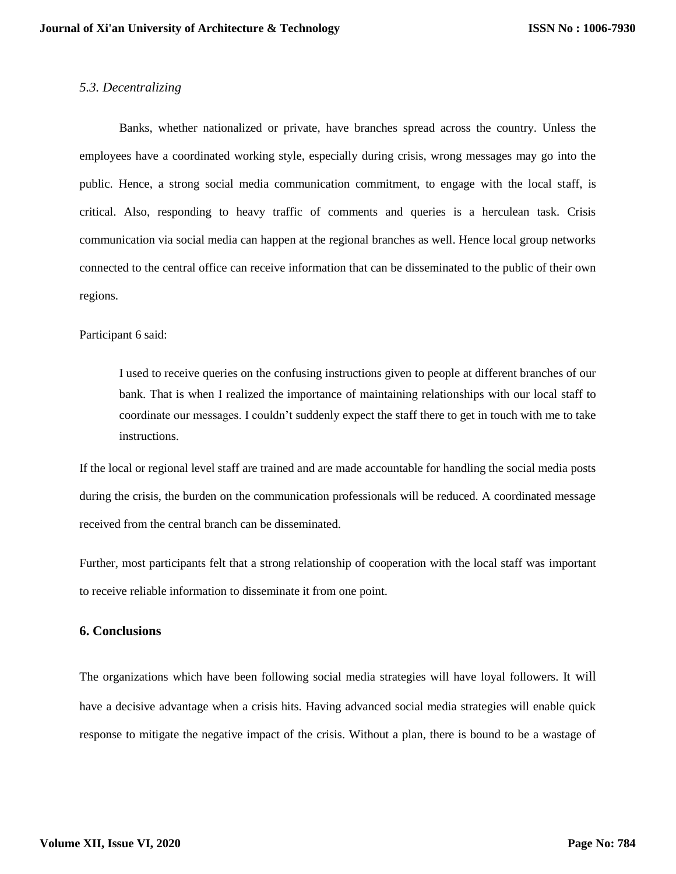## *5.3. Decentralizing*

Banks, whether nationalized or private, have branches spread across the country. Unless the employees have a coordinated working style, especially during crisis, wrong messages may go into the public. Hence, a strong social media communication commitment, to engage with the local staff, is critical. Also, responding to heavy traffic of comments and queries is a herculean task. Crisis communication via social media can happen at the regional branches as well. Hence local group networks connected to the central office can receive information that can be disseminated to the public of their own regions.

#### Participant 6 said:

I used to receive queries on the confusing instructions given to people at different branches of our bank. That is when I realized the importance of maintaining relationships with our local staff to coordinate our messages. I couldn't suddenly expect the staff there to get in touch with me to take instructions.

If the local or regional level staff are trained and are made accountable for handling the social media posts during the crisis, the burden on the communication professionals will be reduced. A coordinated message received from the central branch can be disseminated.

Further, most participants felt that a strong relationship of cooperation with the local staff was important to receive reliable information to disseminate it from one point.

## **6. Conclusions**

The organizations which have been following social media strategies will have loyal followers. It will have a decisive advantage when a crisis hits. Having advanced social media strategies will enable quick response to mitigate the negative impact of the crisis. Without a plan, there is bound to be a wastage of